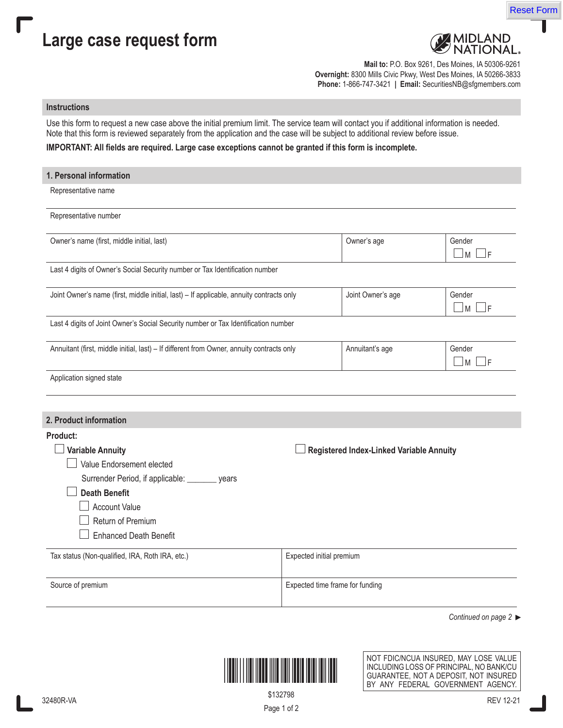

## **Large case request form**



**Mail to:** P.O. Box 9261, Des Moines, IA 50306-9261 **Overnight:** 8300 Mills Civic Pkwy, West Des Moines, IA 50266-3833 **Phone:** 1-866-747-3421 **| Email:** SecuritiesNB@sfgmembers.com

## **Instructions**

Use this form to request a new case above the initial premium limit. The service team will contact you if additional information is needed. Note that this form is reviewed separately from the application and the case will be subject to additional review before issue.

## **IMPORTANT: All fields are required. Large case exceptions cannot be granted if this form is incomplete.**

| 1. Personal information                                                                                                                                                                                                   |                                 |                                          |                             |  |  |  |
|---------------------------------------------------------------------------------------------------------------------------------------------------------------------------------------------------------------------------|---------------------------------|------------------------------------------|-----------------------------|--|--|--|
| Representative name                                                                                                                                                                                                       |                                 |                                          |                             |  |  |  |
| Representative number                                                                                                                                                                                                     |                                 |                                          |                             |  |  |  |
| Owner's name (first, middle initial, last)                                                                                                                                                                                |                                 | Owner's age                              | Gender<br>$\sqcup$ M<br>_lF |  |  |  |
| Last 4 digits of Owner's Social Security number or Tax Identification number                                                                                                                                              |                                 |                                          |                             |  |  |  |
| Joint Owner's name (first, middle initial, last) - If applicable, annuity contracts only                                                                                                                                  | Joint Owner's age               | Gender<br>$\Box$ m $\Box$ f              |                             |  |  |  |
| Last 4 digits of Joint Owner's Social Security number or Tax Identification number                                                                                                                                        |                                 |                                          |                             |  |  |  |
| Annuitant (first, middle initial, last) - If different from Owner, annuity contracts only                                                                                                                                 | Annuitant's age                 | Gender<br>$\sqcup$ M<br>JF               |                             |  |  |  |
| Application signed state                                                                                                                                                                                                  |                                 |                                          |                             |  |  |  |
|                                                                                                                                                                                                                           |                                 |                                          |                             |  |  |  |
| 2. Product information                                                                                                                                                                                                    |                                 |                                          |                             |  |  |  |
| Product:<br><b>Variable Annuity</b><br>Value Endorsement elected<br>Surrender Period, if applicable: ________ years<br><b>Death Benefit</b><br><b>Account Value</b><br>Return of Premium<br><b>Enhanced Death Benefit</b> |                                 | Registered Index-Linked Variable Annuity |                             |  |  |  |
| Tax status (Non-qualified, IRA, Roth IRA, etc.)                                                                                                                                                                           | Expected initial premium        |                                          |                             |  |  |  |
| Source of premium                                                                                                                                                                                                         | Expected time frame for funding |                                          |                             |  |  |  |

*Continued on page 2* 



NOT FDIC/NCUA INSURED, MAY LOSE VALUE INCLUDING LOSS OF PRINCIPAL, NO BANK/CU GUARANTEE, NOT A DEPOSIT, NOT INSURED BY ANY FEDERAL GOVERNMENT AGENCY.